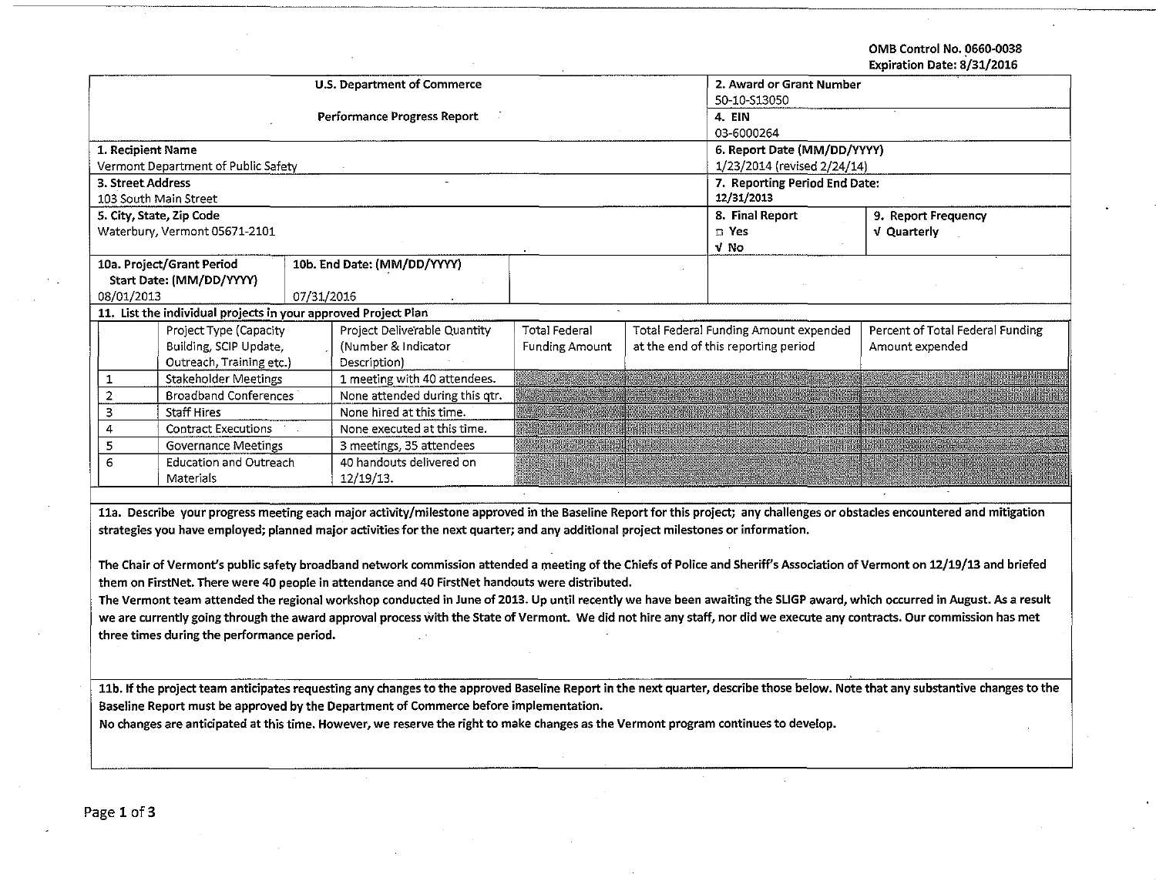OMB Control No. 0660·0038 Expiration Date: 8/31/2016

| expiration pate: 6/51/2010                                                                                                                                                |                                                                |            |                                    |                               |  |                                       |                                                                                                                                                                                 |  |  |
|---------------------------------------------------------------------------------------------------------------------------------------------------------------------------|----------------------------------------------------------------|------------|------------------------------------|-------------------------------|--|---------------------------------------|---------------------------------------------------------------------------------------------------------------------------------------------------------------------------------|--|--|
|                                                                                                                                                                           |                                                                |            | <b>U.S. Department of Commerce</b> | 2. Award or Grant Number      |  |                                       |                                                                                                                                                                                 |  |  |
|                                                                                                                                                                           |                                                                |            |                                    | 50-10-S13050                  |  |                                       |                                                                                                                                                                                 |  |  |
|                                                                                                                                                                           |                                                                |            | <b>Performance Progress Report</b> | 4. EIN                        |  |                                       |                                                                                                                                                                                 |  |  |
|                                                                                                                                                                           |                                                                |            |                                    | 03-6000264                    |  |                                       |                                                                                                                                                                                 |  |  |
| 1. Recipient Name                                                                                                                                                         |                                                                |            |                                    |                               |  | 6. Report Date (MM/DD/YYYY)           |                                                                                                                                                                                 |  |  |
|                                                                                                                                                                           | Vermont Department of Public Safety                            |            |                                    | 1/23/2014 (revised 2/24/14)   |  |                                       |                                                                                                                                                                                 |  |  |
| 3. Street Address                                                                                                                                                         |                                                                |            |                                    | 7. Reporting Period End Date: |  |                                       |                                                                                                                                                                                 |  |  |
|                                                                                                                                                                           | 103 South Main Street                                          |            |                                    | 12/31/2013                    |  |                                       |                                                                                                                                                                                 |  |  |
|                                                                                                                                                                           | 5. City, State, Zip Code                                       |            |                                    |                               |  | 8. Final Report                       | 9. Report Frequency                                                                                                                                                             |  |  |
|                                                                                                                                                                           | Waterbury, Vermont 05671-2101                                  |            |                                    |                               |  | $\square$ Yes                         | <b>v</b> Quarterly                                                                                                                                                              |  |  |
|                                                                                                                                                                           |                                                                |            |                                    |                               |  | V No                                  |                                                                                                                                                                                 |  |  |
|                                                                                                                                                                           | 10a. Project/Grant Period                                      |            | 10b. End Date: (MM/DD/YYYY)        |                               |  |                                       |                                                                                                                                                                                 |  |  |
|                                                                                                                                                                           | Start Date: (MM/DD/YYYY)                                       |            |                                    |                               |  |                                       |                                                                                                                                                                                 |  |  |
| 08/01/2013                                                                                                                                                                |                                                                | 07/31/2016 |                                    |                               |  |                                       |                                                                                                                                                                                 |  |  |
|                                                                                                                                                                           | 11. List the individual projects in your approved Project Plan |            |                                    |                               |  |                                       |                                                                                                                                                                                 |  |  |
|                                                                                                                                                                           | Project Type (Capacity                                         |            | Project Deliverable Quantity       | <b>Total Federal</b>          |  | Total Federal Funding Amount expended | Percent of Total Federal Funding                                                                                                                                                |  |  |
|                                                                                                                                                                           | Building, SCIP Update,                                         |            | (Number & Indicator                | <b>Funding Amount</b>         |  | at the end of this reporting period   | Amount expended                                                                                                                                                                 |  |  |
|                                                                                                                                                                           | Outreach, Training etc.)                                       |            | Description)                       |                               |  |                                       |                                                                                                                                                                                 |  |  |
| 1                                                                                                                                                                         | <b>Stakeholder Meetings</b>                                    |            | 1 meeting with 40 attendees.       |                               |  |                                       |                                                                                                                                                                                 |  |  |
| $\overline{2}$                                                                                                                                                            | <b>Broadband Conferences</b>                                   |            | None attended during this otr.     |                               |  |                                       |                                                                                                                                                                                 |  |  |
| $\overline{3}$                                                                                                                                                            | <b>Staff Hires</b>                                             |            | None hired at this time.           |                               |  |                                       |                                                                                                                                                                                 |  |  |
| 4                                                                                                                                                                         | <b>Contract Executions</b>                                     |            | None executed at this time.        |                               |  |                                       |                                                                                                                                                                                 |  |  |
| 5                                                                                                                                                                         | Governance Meetings                                            |            | 3 meetings, 35 attendees           |                               |  |                                       |                                                                                                                                                                                 |  |  |
| 6                                                                                                                                                                         | <b>Education and Outreach</b>                                  |            | 40 handouts delivered on           |                               |  |                                       |                                                                                                                                                                                 |  |  |
|                                                                                                                                                                           | Materials                                                      |            | 12/19/13.                          |                               |  |                                       |                                                                                                                                                                                 |  |  |
|                                                                                                                                                                           |                                                                |            |                                    |                               |  |                                       |                                                                                                                                                                                 |  |  |
|                                                                                                                                                                           |                                                                |            |                                    |                               |  |                                       | 11a. Describe your progress meeting each major activity/milestone approved in the Baseline Report for this project; any challenges or obstacles encountered and mitigation      |  |  |
| strategies you have employed; planned major activities for the next quarter; and any additional project milestones or information.                                        |                                                                |            |                                    |                               |  |                                       |                                                                                                                                                                                 |  |  |
|                                                                                                                                                                           |                                                                |            |                                    |                               |  |                                       |                                                                                                                                                                                 |  |  |
| The Chair of Vermont's public safety broadband network commission attended a meeting of the Chiefs of Police and Sheriff's Association of Vermont on 12/19/13 and briefed |                                                                |            |                                    |                               |  |                                       |                                                                                                                                                                                 |  |  |
| them on FirstNet. There were 40 people in attendance and 40 FirstNet handouts were distributed.                                                                           |                                                                |            |                                    |                               |  |                                       |                                                                                                                                                                                 |  |  |
| The Vermont team attended the regional workshop conducted in June of 2013. Up until recently we have been awaiting the SLIGP award, which occurred in August. As a result |                                                                |            |                                    |                               |  |                                       |                                                                                                                                                                                 |  |  |
| we are currently going through the award approval process with the State of Vermont. We did not hire any staff, nor did we execute any contracts. Our commission has met  |                                                                |            |                                    |                               |  |                                       |                                                                                                                                                                                 |  |  |
| three times during the performance period.                                                                                                                                |                                                                |            |                                    |                               |  |                                       |                                                                                                                                                                                 |  |  |
|                                                                                                                                                                           |                                                                |            |                                    |                               |  |                                       |                                                                                                                                                                                 |  |  |
|                                                                                                                                                                           |                                                                |            |                                    |                               |  |                                       |                                                                                                                                                                                 |  |  |
|                                                                                                                                                                           |                                                                |            |                                    |                               |  |                                       | 11b. If the project team anticipates requesting any changes to the approved Baseline Report in the next quarter, describe those below. Note that any substantive changes to the |  |  |
|                                                                                                                                                                           |                                                                |            |                                    |                               |  |                                       |                                                                                                                                                                                 |  |  |

Baseline Report must be approved by the Department of Commerce before implementation.

No changes are anticipated at this time. However, we reserve the right to make changes as the Vermont program continues to develop.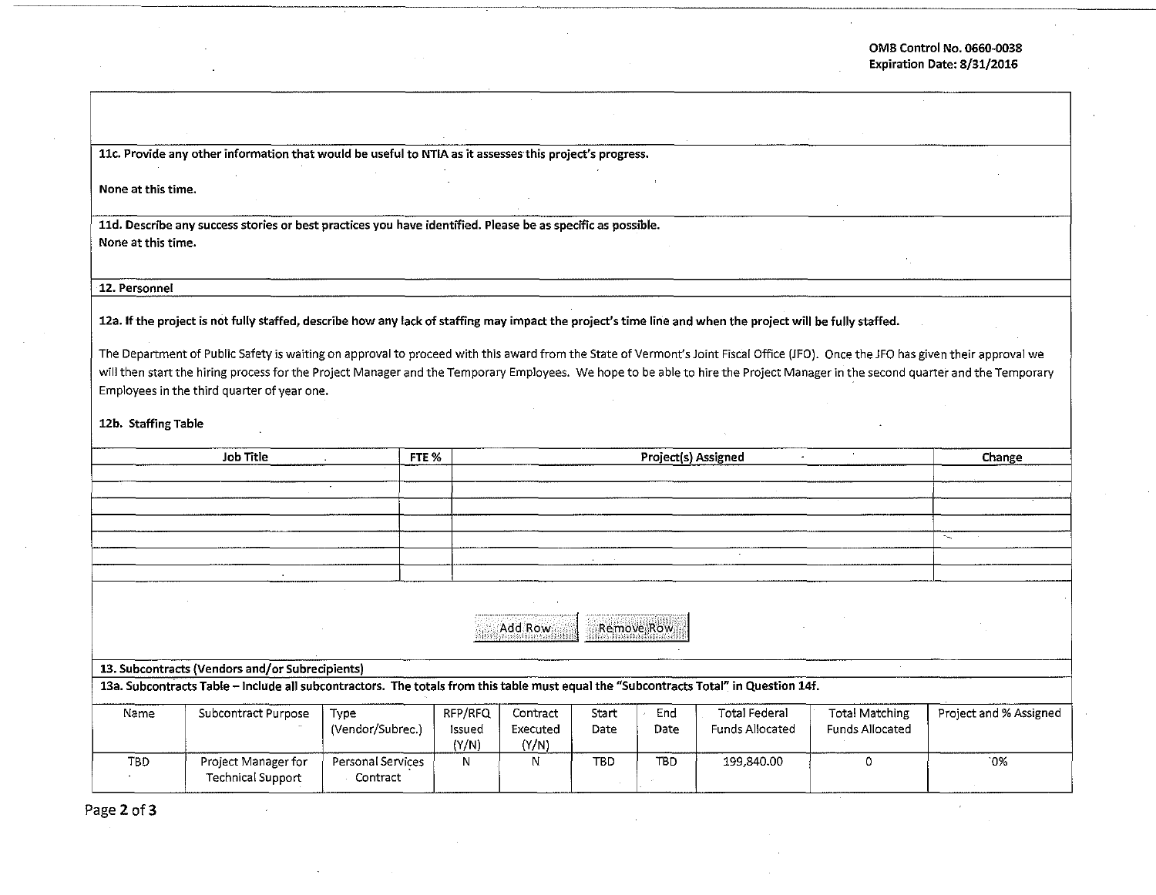**llc. Provide any other information that would be useful to NTIA as it assesses· this project's progress.** 

**None at this time.** 

**lld. Describe any success stories or best practices you have identified. Please be as specific as possible. None at this time.** 

**12. Personnel** 

**12a. If the project is not fully staffed, describe how any lack of staffing may impact the project's time line and when the project will be fully staffed.** 

The Department of Public Safety is waiting on approval to proceed with this award from the State of Vermont's Joint Fiscal Office (JFO). Once the JFO has given their approval we will then start the hiring process for the Project Manager and the Temporary Employees. We hope to be able to hire the Project Manager in the second quarter and the Temporary Employees in the third quarter of year one.

12b. Staffing Table

|                                                                                                                                       | FTE %                                           | Project(s) Assigned |         |          |            |            | Change                 |                       |                        |  |
|---------------------------------------------------------------------------------------------------------------------------------------|-------------------------------------------------|---------------------|---------|----------|------------|------------|------------------------|-----------------------|------------------------|--|
|                                                                                                                                       |                                                 |                     |         |          |            |            |                        |                       |                        |  |
|                                                                                                                                       |                                                 | $\sim$              |         |          |            |            |                        |                       |                        |  |
|                                                                                                                                       |                                                 |                     |         |          |            |            |                        |                       |                        |  |
|                                                                                                                                       |                                                 |                     |         |          |            |            |                        |                       |                        |  |
|                                                                                                                                       |                                                 |                     |         |          |            |            |                        |                       | $\sim$                 |  |
|                                                                                                                                       |                                                 |                     |         |          |            |            |                        |                       |                        |  |
|                                                                                                                                       |                                                 |                     |         |          |            |            |                        |                       |                        |  |
|                                                                                                                                       |                                                 |                     |         |          |            |            |                        |                       |                        |  |
|                                                                                                                                       |                                                 |                     |         |          |            |            |                        |                       |                        |  |
|                                                                                                                                       |                                                 |                     |         | Add Row  | Remove Row |            |                        |                       |                        |  |
|                                                                                                                                       |                                                 |                     |         |          |            |            |                        |                       |                        |  |
|                                                                                                                                       |                                                 |                     |         |          |            |            |                        |                       |                        |  |
|                                                                                                                                       | 13. Subcontracts (Vendors and/or Subrecipients) |                     |         |          |            |            |                        |                       |                        |  |
| 13a. Subcontracts Table - Include all subcontractors. The totals from this table must equal the "Subcontracts Total" in Question 14f. |                                                 |                     |         |          |            |            |                        |                       |                        |  |
| Name                                                                                                                                  | Subcontract Purpose                             | Type                | RFP/RFQ | Contract | Start      | End        | <b>Total Federal</b>   | <b>Total Matching</b> | Project and % Assigned |  |
|                                                                                                                                       |                                                 | (Vendor/Subrec.)    | Issued  | Executed | Date       | Date       | <b>Funds Allocated</b> | Funds Allocated       |                        |  |
|                                                                                                                                       |                                                 |                     | (Y/N)   | (Y/N)    |            |            |                        |                       |                        |  |
| TBD                                                                                                                                   | Project Manager for                             | Personal Services   | N       | N        | <b>TBD</b> | <b>TBD</b> | 199,840.00             | Ω                     | $0\%$                  |  |
|                                                                                                                                       | <b>Technical Support</b>                        | Contract            |         |          |            |            |                        |                       |                        |  |
|                                                                                                                                       |                                                 |                     |         |          |            |            |                        |                       |                        |  |

Page 2 of 3